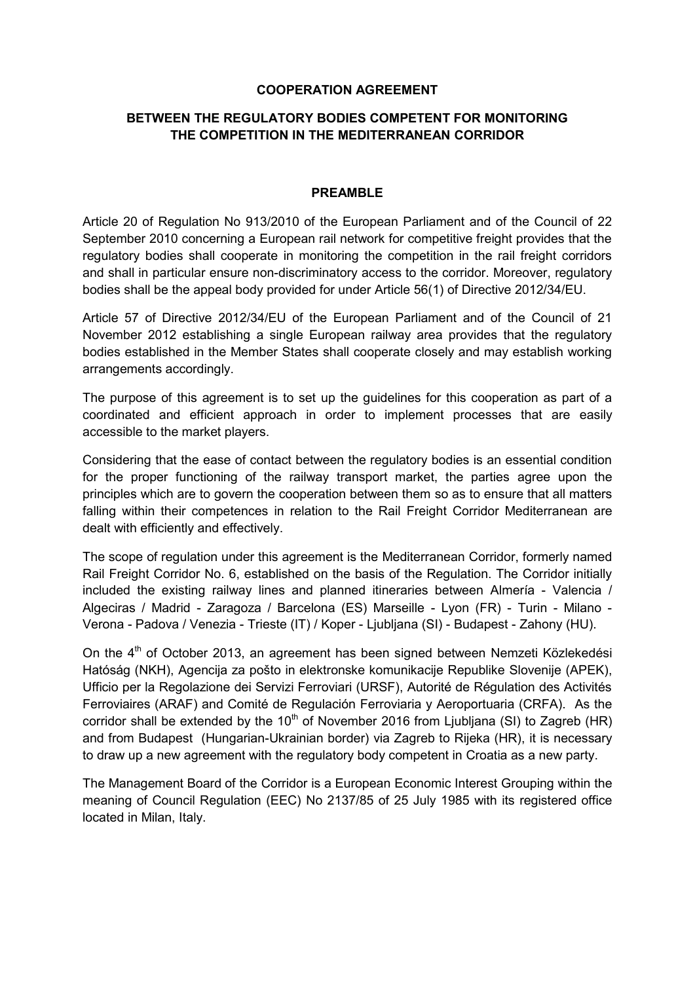### **COOPERATION AGREEMENT**

## **BETWEEN THE REGULATORY BODIES COMPETENT FOR MONITORING THE COMPETITION IN THE MEDITERRANEAN CORRIDOR**

#### **PREAMBLE**

Article 20 of Regulation No 913/2010 of the European Parliament and of the Council of 22 September 2010 concerning a European rail network for competitive freight provides that the regulatory bodies shall cooperate in monitoring the competition in the rail freight corridors and shall in particular ensure non-discriminatory access to the corridor. Moreover, regulatory bodies shall be the appeal body provided for under Article 56(1) of Directive 2012/34/EU.

Article 57 of Directive 2012/34/EU of the European Parliament and of the Council of 21 November 2012 establishing a single European railway area provides that the regulatory bodies established in the Member States shall cooperate closely and may establish working arrangements accordingly.

The purpose of this agreement is to set up the guidelines for this cooperation as part of a coordinated and efficient approach in order to implement processes that are easily accessible to the market players.

Considering that the ease of contact between the regulatory bodies is an essential condition for the proper functioning of the railway transport market, the parties agree upon the principles which are to govern the cooperation between them so as to ensure that all matters falling within their competences in relation to the Rail Freight Corridor Mediterranean are dealt with efficiently and effectively.

The scope of regulation under this agreement is the Mediterranean Corridor, formerly named Rail Freight Corridor No. 6, established on the basis of the Regulation. The Corridor initially included the existing railway lines and planned itineraries between Almería - Valencia / Algeciras / Madrid - Zaragoza / Barcelona (ES) Marseille - Lyon (FR) - Turin - Milano - Verona - Padova / Venezia - Trieste (IT) / Koper - Ljubljana (SI) - Budapest - Zahony (HU).

On the 4<sup>th</sup> of October 2013, an agreement has been signed between Nemzeti Közlekedési Hatóság (NKH), Agencija za pošto in elektronske komunikacije Republike Slovenije (APEK), Ufficio per la Regolazione dei Servizi Ferroviari (URSF), Autorité de Régulation des Activités Ferroviaires (ARAF) and Comité de Regulación Ferroviaria y Aeroportuaria (CRFA). As the corridor shall be extended by the  $10<sup>th</sup>$  of November 2016 from Ljubljana (SI) to Zagreb (HR) and from Budapest (Hungarian-Ukrainian border) via Zagreb to Rijeka (HR), it is necessary to draw up a new agreement with the regulatory body competent in Croatia as a new party.

The Management Board of the Corridor is a European Economic Interest Grouping within the meaning of Council Regulation (EEC) No 2137/85 of 25 July 1985 with its registered office located in Milan, Italy.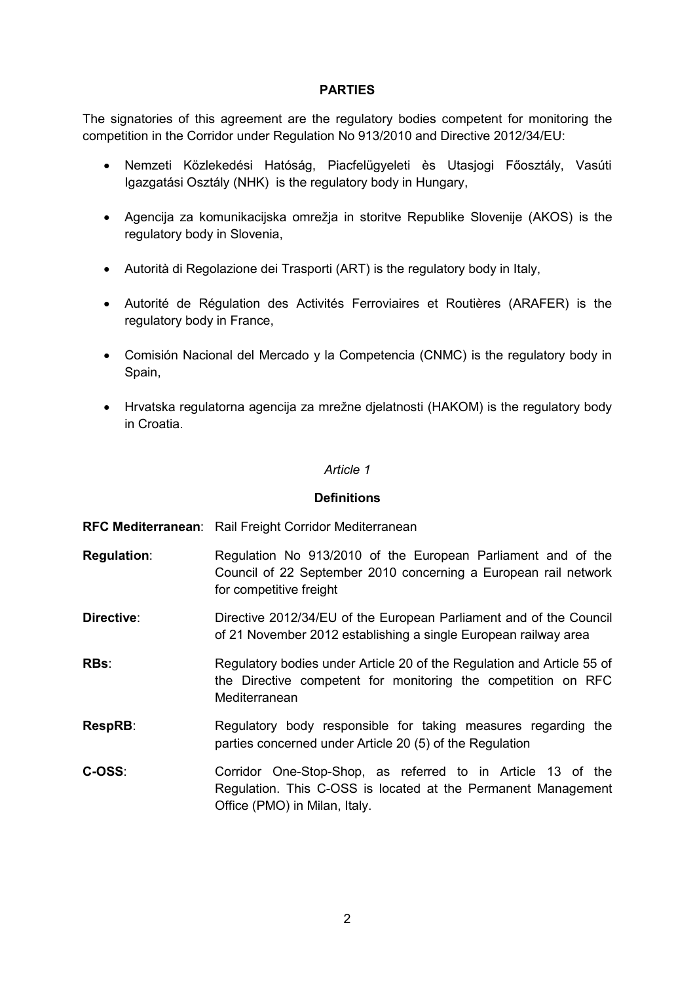### **PARTIES**

The signatories of this agreement are the regulatory bodies competent for monitoring the competition in the Corridor under Regulation No 913/2010 and Directive 2012/34/EU:

- Nemzeti Közlekedési Hatóság, Piacfelügyeleti ès Utasjogi Főosztály, Vasúti Igazgatási Osztály (NHK) is the regulatory body in Hungary,
- Agencija za komunikacijska omrežja in storitve Republike Slovenije (AKOS) is the regulatory body in Slovenia,
- Autorità di Regolazione dei Trasporti (ART) is the regulatory body in Italy,
- Autorité de Régulation des Activités Ferroviaires et Routières (ARAFER) is the regulatory body in France,
- Comisión Nacional del Mercado y la Competencia (CNMC) is the regulatory body in Spain,
- Hrvatska regulatorna agencija za mrežne djelatnosti (HAKOM) is the regulatory body in Croatia.

#### *Article 1*

#### **Definitions**

- **RFC Mediterranean**: Rail Freight Corridor Mediterranean
- **Regulation**: Regulation No 913/2010 of the European Parliament and of the Council of 22 September 2010 concerning a European rail network for competitive freight
- **Directive:** Directive 2012/34/EU of the European Parliament and of the Council of 21 November 2012 establishing a single European railway area

**RBs**: Regulatory bodies under Article 20 of the Regulation and Article 55 of the Directive competent for monitoring the competition on RFC Mediterranean

- **RespRB:** Regulatory body responsible for taking measures regarding the parties concerned under Article 20 (5) of the Regulation
- **C-OSS**: Corridor One-Stop-Shop, as referred to in Article 13 of the Regulation. This C-OSS is located at the Permanent Management Office (PMO) in Milan, Italy.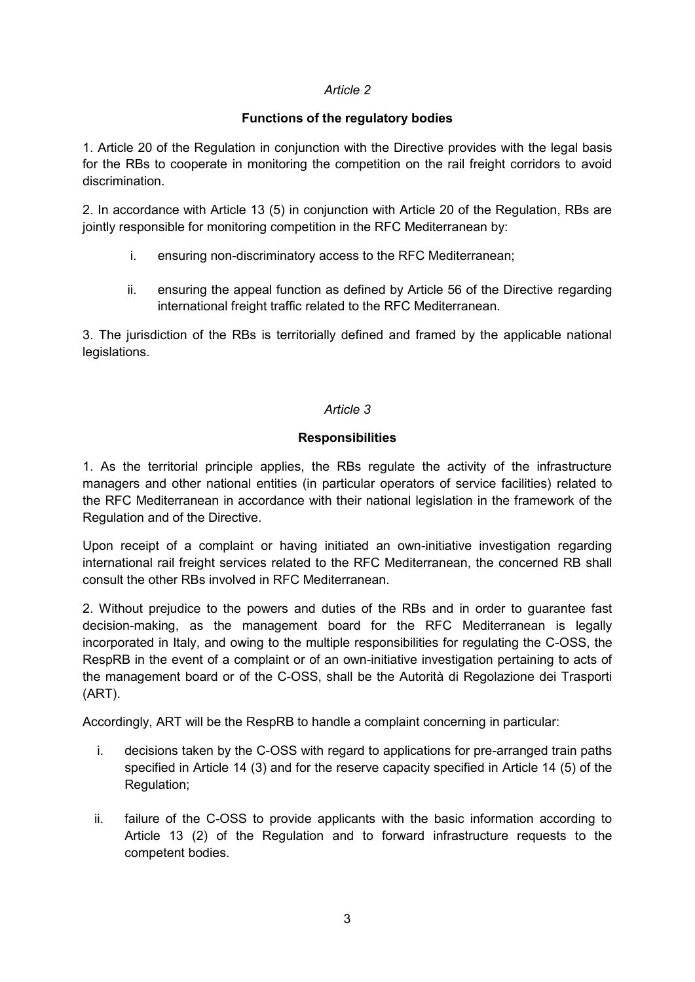## *Article 2*

## **Functions of the regulatory bodies**

1. Article 20 of the Regulation in conjunction with the Directive provides with the legal basis for the RBs to cooperate in monitoring the competition on the rail freight corridors to avoid discrimination.

2. In accordance with Article 13 (5) in conjunction with Article 20 of the Regulation, RBs are jointly responsible for monitoring competition in the RFC Mediterranean by:

- i. ensuring non-discriminatory access to the RFC Mediterranean;
- ii. ensuring the appeal function as defined by Article 56 of the Directive regarding international freight traffic related to the RFC Mediterranean.

3. The jurisdiction of the RBs is territorially defined and framed by the applicable national legislations.

## *Article 3*

## **Responsibilities**

1. As the territorial principle applies, the RBs regulate the activity of the infrastructure managers and other national entities (in particular operators of service facilities) related to the RFC Mediterranean in accordance with their national legislation in the framework of the Regulation and of the Directive.

Upon receipt of a complaint or having initiated an own-initiative investigation regarding international rail freight services related to the RFC Mediterranean, the concerned RB shall consult the other RBs involved in RFC Mediterranean.

2. Without prejudice to the powers and duties of the RBs and in order to guarantee fast decision-making, as the management board for the RFC Mediterranean is legally incorporated in Italy, and owing to the multiple responsibilities for regulating the C-OSS, the RespRB in the event of a complaint or of an own-initiative investigation pertaining to acts of the management board or of the C-OSS, shall be the Autorità di Regolazione dei Trasporti (ART).

Accordingly, ART will be the RespRB to handle a complaint concerning in particular:

- i. decisions taken by the C-OSS with regard to applications for pre-arranged train paths specified in Article 14 (3) and for the reserve capacity specified in Article 14 (5) of the Regulation;
- ii. failure of the C-OSS to provide applicants with the basic information according to Article 13 (2) of the Regulation and to forward infrastructure requests to the competent bodies.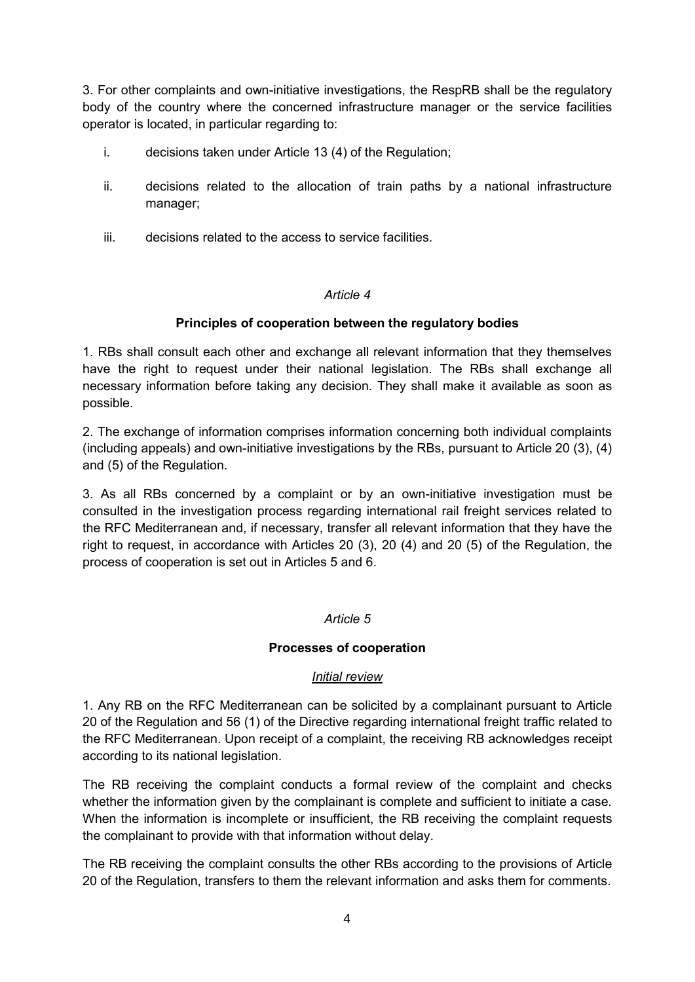3. For other complaints and own-initiative investigations, the RespRB shall be the regulatory body of the country where the concerned infrastructure manager or the service facilities operator is located, in particular regarding to:

- i. decisions taken under Article 13 (4) of the Regulation;
- ii. decisions related to the allocation of train paths by a national infrastructure manager;
- iii. decisions related to the access to service facilities.

### *Article 4*

## **Principles of cooperation between the regulatory bodies**

1. RBs shall consult each other and exchange all relevant information that they themselves have the right to request under their national legislation. The RBs shall exchange all necessary information before taking any decision. They shall make it available as soon as possible.

2. The exchange of information comprises information concerning both individual complaints (including appeals) and own-initiative investigations by the RBs, pursuant to Article 20 (3), (4) and (5) of the Regulation.

3. As all RBs concerned by a complaint or by an own-initiative investigation must be consulted in the investigation process regarding international rail freight services related to the RFC Mediterranean and, if necessary, transfer all relevant information that they have the right to request, in accordance with Articles 20 (3), 20 (4) and 20 (5) of the Regulation, the process of cooperation is set out in Articles 5 and 6.

### *Article 5*

# **Processes of cooperation**

### *Initial review*

1. Any RB on the RFC Mediterranean can be solicited by a complainant pursuant to Article 20 of the Regulation and 56 (1) of the Directive regarding international freight traffic related to the RFC Mediterranean. Upon receipt of a complaint, the receiving RB acknowledges receipt according to its national legislation.

The RB receiving the complaint conducts a formal review of the complaint and checks whether the information given by the complainant is complete and sufficient to initiate a case. When the information is incomplete or insufficient, the RB receiving the complaint requests the complainant to provide with that information without delay.

The RB receiving the complaint consults the other RBs according to the provisions of Article 20 of the Regulation, transfers to them the relevant information and asks them for comments.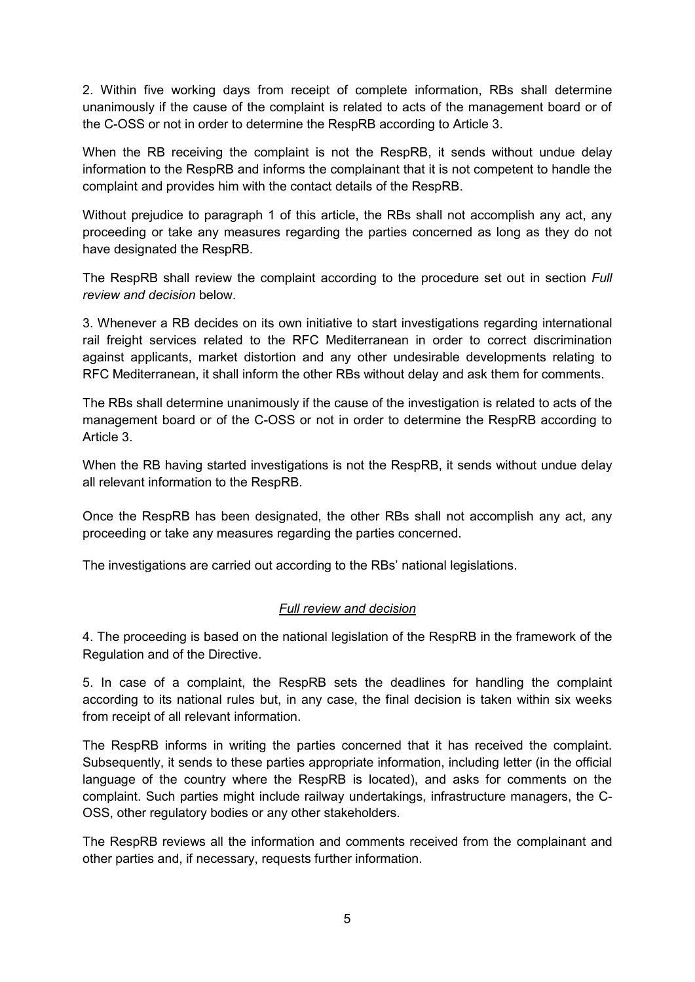2. Within five working days from receipt of complete information, RBs shall determine unanimously if the cause of the complaint is related to acts of the management board or of the C-OSS or not in order to determine the RespRB according to Article 3.

When the RB receiving the complaint is not the RespRB, it sends without undue delay information to the RespRB and informs the complainant that it is not competent to handle the complaint and provides him with the contact details of the RespRB.

Without prejudice to paragraph 1 of this article, the RBs shall not accomplish any act, any proceeding or take any measures regarding the parties concerned as long as they do not have designated the RespRB.

The RespRB shall review the complaint according to the procedure set out in section *Full review and decision* below.

3. Whenever a RB decides on its own initiative to start investigations regarding international rail freight services related to the RFC Mediterranean in order to correct discrimination against applicants, market distortion and any other undesirable developments relating to RFC Mediterranean, it shall inform the other RBs without delay and ask them for comments.

The RBs shall determine unanimously if the cause of the investigation is related to acts of the management board or of the C-OSS or not in order to determine the RespRB according to Article 3.

When the RB having started investigations is not the RespRB, it sends without undue delay all relevant information to the RespRB.

Once the RespRB has been designated, the other RBs shall not accomplish any act, any proceeding or take any measures regarding the parties concerned.

The investigations are carried out according to the RBs' national legislations.

# *Full review and decision*

4. The proceeding is based on the national legislation of the RespRB in the framework of the Regulation and of the Directive.

5. In case of a complaint, the RespRB sets the deadlines for handling the complaint according to its national rules but, in any case, the final decision is taken within six weeks from receipt of all relevant information.

The RespRB informs in writing the parties concerned that it has received the complaint. Subsequently, it sends to these parties appropriate information, including letter (in the official language of the country where the RespRB is located), and asks for comments on the complaint. Such parties might include railway undertakings, infrastructure managers, the C-OSS, other regulatory bodies or any other stakeholders.

The RespRB reviews all the information and comments received from the complainant and other parties and, if necessary, requests further information.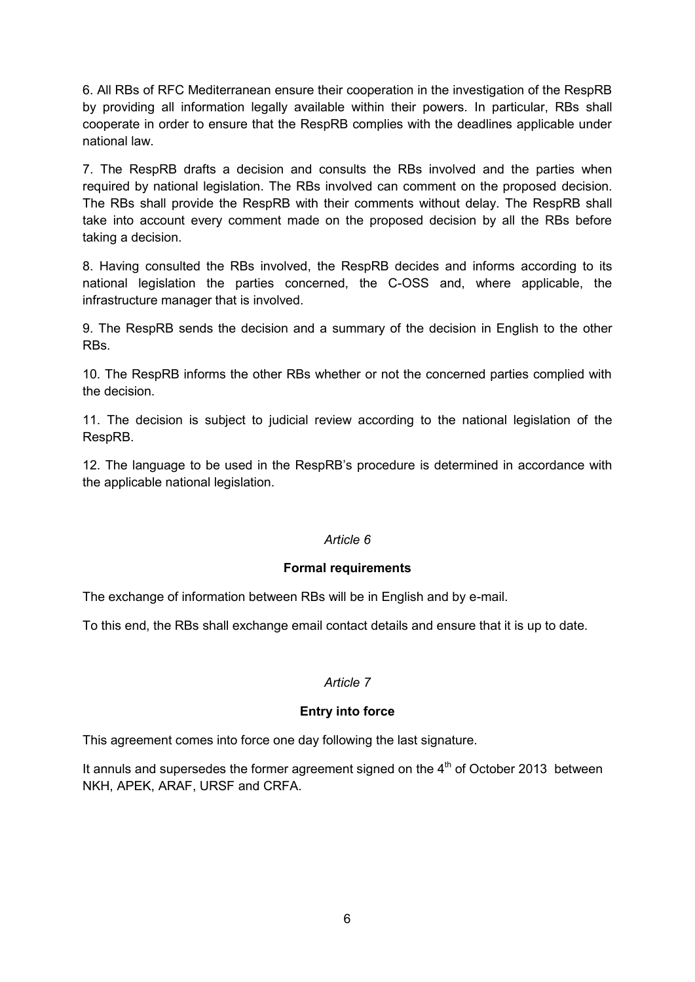6. All RBs of RFC Mediterranean ensure their cooperation in the investigation of the RespRB by providing all information legally available within their powers. In particular, RBs shall cooperate in order to ensure that the RespRB complies with the deadlines applicable under national law.

7. The RespRB drafts a decision and consults the RBs involved and the parties when required by national legislation. The RBs involved can comment on the proposed decision. The RBs shall provide the RespRB with their comments without delay. The RespRB shall take into account every comment made on the proposed decision by all the RBs before taking a decision.

8. Having consulted the RBs involved, the RespRB decides and informs according to its national legislation the parties concerned, the C-OSS and, where applicable, the infrastructure manager that is involved.

9. The RespRB sends the decision and a summary of the decision in English to the other RBs.

10. The RespRB informs the other RBs whether or not the concerned parties complied with the decision.

11. The decision is subject to judicial review according to the national legislation of the RespRB.

12. The language to be used in the RespRB's procedure is determined in accordance with the applicable national legislation.

### *Article 6*

### **Formal requirements**

The exchange of information between RBs will be in English and by e-mail.

To this end, the RBs shall exchange email contact details and ensure that it is up to date.

# *Article 7*

# **Entry into force**

This agreement comes into force one day following the last signature.

It annuls and supersedes the former agreement signed on the  $4<sup>th</sup>$  of October 2013 between NKH, APEK, ARAF, URSF and CRFA.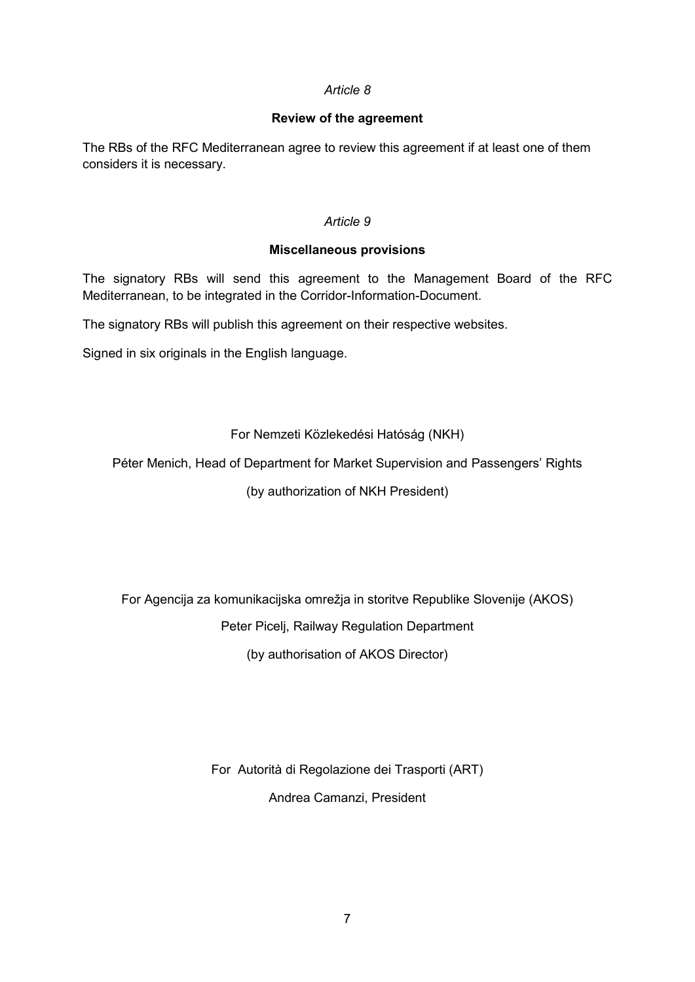### *Article 8*

## **Review of the agreement**

The RBs of the RFC Mediterranean agree to review this agreement if at least one of them considers it is necessary.

### *Article 9*

## **Miscellaneous provisions**

The signatory RBs will send this agreement to the Management Board of the RFC Mediterranean, to be integrated in the Corridor-Information-Document.

The signatory RBs will publish this agreement on their respective websites.

Signed in six originals in the English language.

For Nemzeti Közlekedési Hatóság (NKH)

Péter Menich, Head of Department for Market Supervision and Passengers' Rights

(by authorization of NKH President)

For Agencija za komunikacijska omrežja in storitve Republike Slovenije (AKOS) Peter Picelj, Railway Regulation Department

(by authorisation of AKOS Director)

For Autorità di Regolazione dei Trasporti (ART) Andrea Camanzi, President